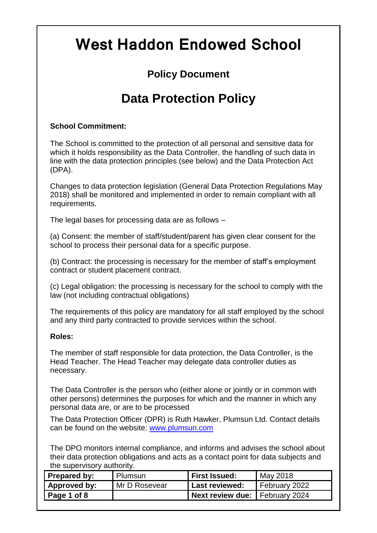# **West Haddon Endowed School**

### **Policy Document**

## **Data Protection Policy**

#### **School Commitment:**

The School is committed to the protection of all personal and sensitive data for which it holds responsibility as the Data Controller, the handling of such data in line with the data protection principles (see below) and the Data Protection Act (DPA).

Changes to data protection legislation (General Data Protection Regulations May 2018) shall be monitored and implemented in order to remain compliant with all requirements.

The legal bases for processing data are as follows –

(a) Consent: the member of staff/student/parent has given clear consent for the school to process their personal data for a specific purpose.

(b) Contract: the processing is necessary for the member of staff's employment contract or student placement contract.

(c) Legal obligation: the processing is necessary for the school to comply with the law (not including contractual obligations)

The requirements of this policy are mandatory for all staff employed by the school and any third party contracted to provide services within the school.

#### **Roles:**

The member of staff responsible for data protection, the Data Controller, is the Head Teacher. The Head Teacher may delegate data controller duties as necessary.

The Data Controller is the person who (either alone or jointly or in common with other persons) determines the purposes for which and the manner in which any personal data are, or are to be processed

The Data Protection Officer (DPR) is Ruth Hawker, Plumsun Ltd. Contact details can be found on the website: [www.plumsun.com](http://www.plumsun.com/)

The DPO monitors internal compliance, and informs and advises the school about their data protection obligations and acts as a contact point for data subjects and the supervisory authority.

| <b>Prepared by:</b> | Plumsun       | <b>First Issued:</b>             | May 2018      |
|---------------------|---------------|----------------------------------|---------------|
| Approved by:        | Mr D Rosevear | <b>Last reviewed:</b>            | February 2022 |
| Page 1 of 8         |               | Next review due:   February 2024 |               |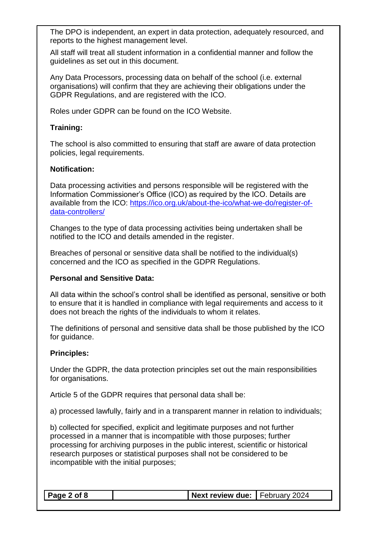The DPO is independent, an expert in data protection, adequately resourced, and reports to the highest management level.

All staff will treat all student information in a confidential manner and follow the guidelines as set out in this document.

Any Data Processors, processing data on behalf of the school (i.e. external organisations) will confirm that they are achieving their obligations under the GDPR Regulations, and are registered with the ICO.

Roles under GDPR can be found on the ICO Website.

#### **Training:**

The school is also committed to ensuring that staff are aware of data protection policies, legal requirements.

#### **Notification:**

Data processing activities and persons responsible will be registered with the Information Commissioner's Office (ICO) as required by the ICO. Details are available from the ICO: [https://ico.org.uk/about-the-ico/what-we-do/register-of](https://ico.org.uk/about-the-ico/what-we-do/register-of-data-controllers/)[data-controllers/](https://ico.org.uk/about-the-ico/what-we-do/register-of-data-controllers/)

Changes to the type of data processing activities being undertaken shall be notified to the ICO and details amended in the register.

Breaches of personal or sensitive data shall be notified to the individual(s) concerned and the ICO as specified in the GDPR Regulations.

#### **Personal and Sensitive Data:**

All data within the school's control shall be identified as personal, sensitive or both to ensure that it is handled in compliance with legal requirements and access to it does not breach the rights of the individuals to whom it relates.

The definitions of personal and sensitive data shall be those published by the ICO for guidance.

#### **Principles:**

Under the GDPR, the data protection principles set out the main responsibilities for organisations.

Article 5 of the GDPR requires that personal data shall be:

a) processed lawfully, fairly and in a transparent manner in relation to individuals;

b) collected for specified, explicit and legitimate purposes and not further processed in a manner that is incompatible with those purposes; further processing for archiving purposes in the public interest, scientific or historical research purposes or statistical purposes shall not be considered to be incompatible with the initial purposes;

| $\vert$ Page 2 of 8 | Next review due: February 2024 |  |
|---------------------|--------------------------------|--|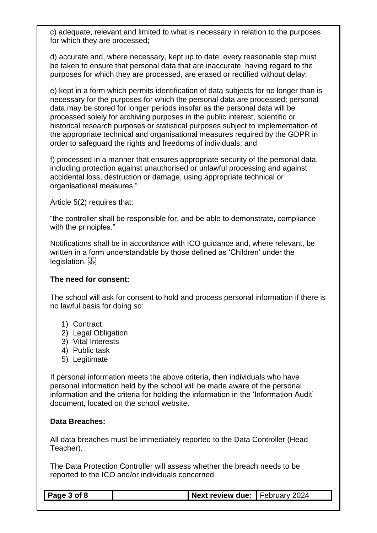c) adequate, relevant and limited to what is necessary in relation to the purposes for which they are processed;

d) accurate and, where necessary, kept up to date; every reasonable step must be taken to ensure that personal data that are inaccurate, having regard to the purposes for which they are processed, are erased or rectified without delay;

e) kept in a form which permits identification of data subjects for no longer than is necessary for the purposes for which the personal data are processed; personal data may be stored for longer periods insofar as the personal data will be processed solely for archiving purposes in the public interest, scientific or historical research purposes or statistical purposes subject to implementation of the appropriate technical and organisational measures required by the GDPR in order to safeguard the rights and freedoms of individuals; and

f) processed in a manner that ensures appropriate security of the personal data, including protection against unauthorised or unlawful processing and against accidental loss, destruction or damage, using appropriate technical or organisational measures."

Article 5(2) requires that:

"the controller shall be responsible for, and be able to demonstrate, compliance with the principles."

Notifications shall be in accordance with ICO guidance and, where relevant, be written in a form understandable by those defined as 'Children' under the legislation.

#### **The need for consent:**

The school will ask for consent to hold and process personal information if there is no lawful basis for doing so:

- 1) Contract
- 2) Legal Obligation
- 3) Vital Interests
- 4) Public task
- 5) Legitimate

If personal information meets the above criteria, then individuals who have personal information held by the school will be made aware of the personal information and the criteria for holding the information in the 'Information Audit' document, located on the school website.

#### **Data Breaches:**

All data breaches must be immediately reported to the Data Controller (Head Teacher).

The Data Protection Controller will assess whether the breach needs to be reported to the ICO and/or individuals concerned.

| Page 3 of 8 | Next review due: February 2024 |  |
|-------------|--------------------------------|--|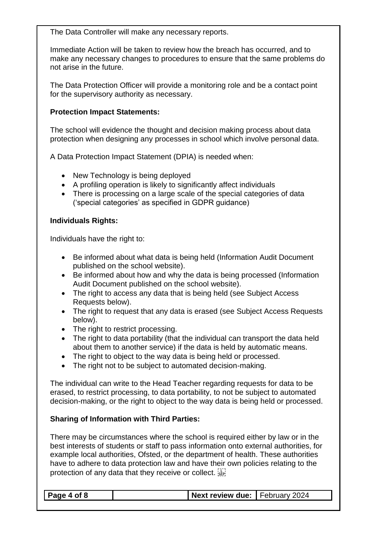The Data Controller will make any necessary reports.

Immediate Action will be taken to review how the breach has occurred, and to make any necessary changes to procedures to ensure that the same problems do not arise in the future.

The Data Protection Officer will provide a monitoring role and be a contact point for the supervisory authority as necessary.

#### **Protection Impact Statements:**

The school will evidence the thought and decision making process about data protection when designing any processes in school which involve personal data.

A Data Protection Impact Statement (DPIA) is needed when:

- New Technology is being deployed
- A profiling operation is likely to significantly affect individuals
- There is processing on a large scale of the special categories of data ('special categories' as specified in GDPR guidance)

#### **Individuals Rights:**

Individuals have the right to:

- Be informed about what data is being held (Information Audit Document published on the school website).
- Be informed about how and why the data is being processed (Information Audit Document published on the school website).
- The right to access any data that is being held (see Subject Access Requests below).
- The right to request that any data is erased (see Subject Access Requests below).
- The right to restrict processing.
- The right to data portability (that the individual can transport the data held about them to another service) if the data is held by automatic means.
- The right to object to the way data is being held or processed.
- The right not to be subject to automated decision-making.

The individual can write to the Head Teacher regarding requests for data to be erased, to restrict processing, to data portability, to not be subject to automated decision-making, or the right to object to the way data is being held or processed.

#### **Sharing of Information with Third Parties:**

There may be circumstances where the school is required either by law or in the best interests of students or staff to pass information onto external authorities, for example local authorities, Ofsted, or the department of health. These authorities have to adhere to data protection law and have their own policies relating to the protection of any data that they receive or collect.

| $\vert$ Page 4 of 8<br>Next review due: February 2024 |
|-------------------------------------------------------|
|-------------------------------------------------------|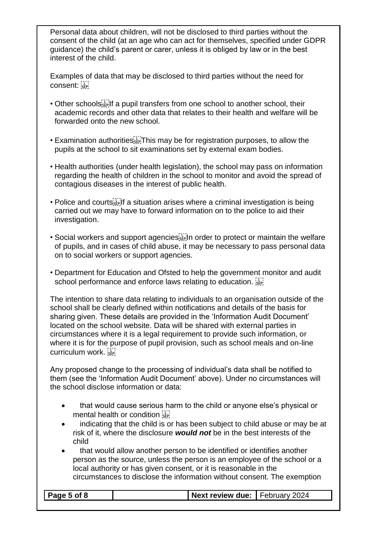Personal data about children, will not be disclosed to third parties without the consent of the child (at an age who can act for themselves, specified under GDPR guidance) the child's parent or carer, unless it is obliged by law or in the best interest of the child.

Examples of data that may be disclosed to third parties without the need for consent: sep-

- Other schools<sup>[17]</sup> The pupil transfers from one school to another school, their academic records and other data that relates to their health and welfare will be forwarded onto the new school.
- Examination authorities **Fight** This may be for registration purposes, to allow the pupils at the school to sit examinations set by external exam bodies.
- Health authorities (under health legislation), the school may pass on information regarding the health of children in the school to monitor and avoid the spread of contagious diseases in the interest of public health.
- Police and courts  $\mathbb{F}_2^T$  a situation arises where a criminal investigation is being carried out we may have to forward information on to the police to aid their investigation.
- Social workers and support agencies<sup>[17]</sup> In order to protect or maintain the welfare of pupils, and in cases of child abuse, it may be necessary to pass personal data on to social workers or support agencies.
- Department for Education and Ofsted to help the government monitor and audit school performance and enforce laws relating to education.

The intention to share data relating to individuals to an organisation outside of the school shall be clearly defined within notifications and details of the basis for sharing given. These details are provided in the 'Information Audit Document' located on the school website. Data will be shared with external parties in circumstances where it is a legal requirement to provide such information, or where it is for the purpose of pupil provision, such as school meals and on-line curriculum work.

Any proposed change to the processing of individual's data shall be notified to them (see the 'Information Audit Document' above). Under no circumstances will the school disclose information or data:

- that would cause serious harm to the child or anyone else's physical or mental health or condition  $\frac{1}{35}$
- indicating that the child is or has been subject to child abuse or may be at risk of it, where the disclosure *would not* be in the best interests of the child
- that would allow another person to be identified or identifies another person as the source, unless the person is an employee of the school or a local authority or has given consent, or it is reasonable in the circumstances to disclose the information without consent. The exemption

| $\vert$ Page 5 of 8 | Next review due: February 2024 |  |
|---------------------|--------------------------------|--|
|                     |                                |  |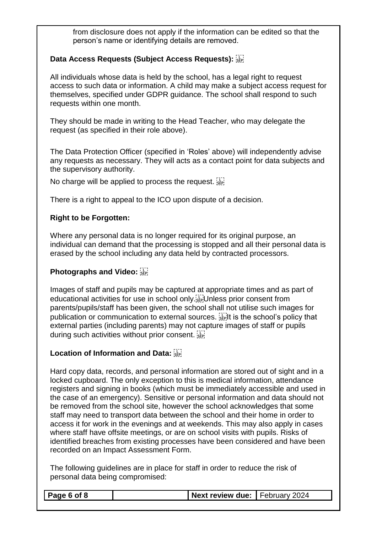from disclosure does not apply if the information can be edited so that the person's name or identifying details are removed.

#### **Data Access Requests (Subject Access Requests):**

All individuals whose data is held by the school, has a legal right to request access to such data or information. A child may make a subject access request for themselves, specified under GDPR guidance. The school shall respond to such requests within one month.

They should be made in writing to the Head Teacher, who may delegate the request (as specified in their role above).

The Data Protection Officer (specified in 'Roles' above) will independently advise any requests as necessary. They will acts as a contact point for data subjects and the supervisory authority.

No charge will be applied to process the request.

There is a right to appeal to the ICO upon dispute of a decision.

#### **Right to be Forgotten:**

Where any personal data is no longer required for its original purpose, an individual can demand that the processing is stopped and all their personal data is erased by the school including any data held by contracted processors.

#### **Photographs and Video:**

Images of staff and pupils may be captured at appropriate times and as part of educational activities for use in school only. Unless prior consent from parents/pupils/staff has been given, the school shall not utilise such images for publication or communication to external sources. **Fight** is the school's policy that external parties (including parents) may not capture images of staff or pupils during such activities without prior consent.

#### **Location of Information and Data:**

Hard copy data, records, and personal information are stored out of sight and in a locked cupboard. The only exception to this is medical information, attendance registers and signing in books (which must be immediately accessible and used in the case of an emergency). Sensitive or personal information and data should not be removed from the school site, however the school acknowledges that some staff may need to transport data between the school and their home in order to access it for work in the evenings and at weekends. This may also apply in cases where staff have offsite meetings, or are on school visits with pupils. Risks of identified breaches from existing processes have been considered and have been recorded on an Impact Assessment Form.

The following guidelines are in place for staff in order to reduce the risk of personal data being compromised:

| Next review due: February 2024<br>Page 6 of 8 |
|-----------------------------------------------|
|-----------------------------------------------|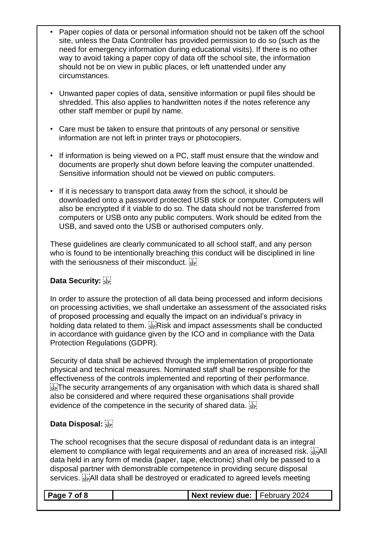- Paper copies of data or personal information should not be taken off the school site, unless the Data Controller has provided permission to do so (such as the need for emergency information during educational visits). If there is no other way to avoid taking a paper copy of data off the school site, the information should not be on view in public places, or left unattended under any circumstances.
- Unwanted paper copies of data, sensitive information or pupil files should be shredded. This also applies to handwritten notes if the notes reference any other staff member or pupil by name.
- Care must be taken to ensure that printouts of any personal or sensitive information are not left in printer trays or photocopiers.
- If information is being viewed on a PC, staff must ensure that the window and documents are properly shut down before leaving the computer unattended. Sensitive information should not be viewed on public computers.
- If it is necessary to transport data away from the school, it should be downloaded onto a password protected USB stick or computer. Computers will also be encrypted if it viable to do so. The data should not be transferred from computers or USB onto any public computers. Work should be edited from the USB, and saved onto the USB or authorised computers only.

These guidelines are clearly communicated to all school staff, and any person who is found to be intentionally breaching this conduct will be disciplined in line with the seriousness of their misconduct.  $\frac{1}{35}$ 

#### **Data Security:**

In order to assure the protection of all data being processed and inform decisions on processing activities, we shall undertake an assessment of the associated risks of proposed processing and equally the impact on an individual's privacy in holding data related to them. **EV** Risk and impact assessments shall be conducted in accordance with guidance given by the ICO and in compliance with the Data Protection Regulations (GDPR).

Security of data shall be achieved through the implementation of proportionate physical and technical measures. Nominated staff shall be responsible for the effectiveness of the controls implemented and reporting of their performance.  $T_{\text{self}}$ . The security arrangements of any organisation with which data is shared shall also be considered and where required these organisations shall provide evidence of the competence in the security of shared data.  $\frac{17}{356}$ 

#### **Data Disposal:**

The school recognises that the secure disposal of redundant data is an integral element to compliance with legal requirements and an area of increased risk. **SEPAIL** data held in any form of media (paper, tape, electronic) shall only be passed to a disposal partner with demonstrable competence in providing secure disposal services. All data shall be destroyed or eradicated to agreed levels meeting

| $\vert$ Page 7 of 8 | Next review due: February 2024 |  |
|---------------------|--------------------------------|--|
|                     |                                |  |